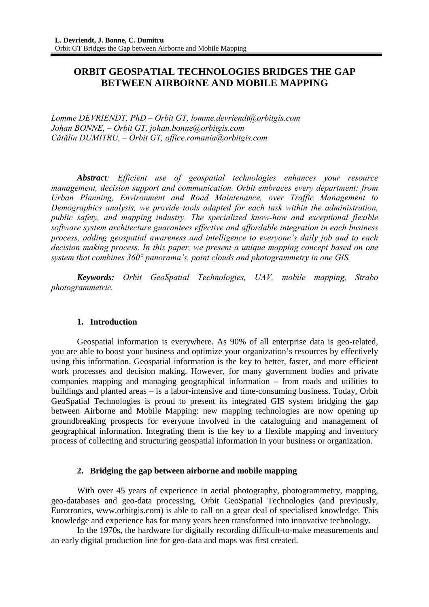# **ORBIT GEOSPATIAL TECHNOLOGIES BRIDGES THE GAP BETWEEN AIRBORNE AND MOBILE MAPPING**

*Lomme DEVRIENDT, PhD – Orbit GT, lomme.devriendt@orbitgis.com Johan BONNE, – Orbit GT, johan.bonne@orbitgis.com Cătălin DUMITRU, – Orbit GT, office.romania@orbitgis.com* 

*Abstract: Efficient use of geospatial technologies enhances your resource management, decision support and communication. Orbit embraces every department: from Urban Planning, Environment and Road Maintenance, over Traffic Management to Demographics analysis, we provide tools adapted for each task within the administration, public safety, and mapping industry. The specialized know-how and exceptional flexible software system architecture guarantees effective and affordable integration in each business process, adding geospatial awareness and intelligence to everyone's daily job and to each decision making process. In this paper, we present a unique mapping concept based on one system that combines 360° panorama's, point clouds and photogrammetry in one GIS.*

*Keywords: Orbit GeoSpatial Technologies, UAV, mobile mapping, Strabo photogrammetric.* 

### **1. Introduction**

Geospatial information is everywhere. As 90% of all enterprise data is geo-related, you are able to boost your business and optimize your organization's resources by effectively using this information. Geospatial information is the key to better, faster, and more efficient work processes and decision making. However, for many government bodies and private companies mapping and managing geographical information – from roads and utilities to buildings and planted areas – is a labor-intensive and time-consuming business. Today, Orbit GeoSpatial Technologies is proud to present its integrated GIS system bridging the gap between Airborne and Mobile Mapping: new mapping technologies are now opening up groundbreaking prospects for everyone involved in the cataloguing and management of geographical information. Integrating them is the key to a flexible mapping and inventory process of collecting and structuring geospatial information in your business or organization.

### **2. Bridging the gap between airborne and mobile mapping**

With over 45 years of experience in aerial photography, photogrammetry, mapping, geo-databases and geo-data processing, Orbit GeoSpatial Technologies (and previously, Eurotronics, www.orbitgis.com) is able to call on a great deal of specialised knowledge. This knowledge and experience has for many years been transformed into innovative technology.

In the 1970s, the hardware for digitally recording difficult-to-make measurements and an early digital production line for geo-data and maps was first created.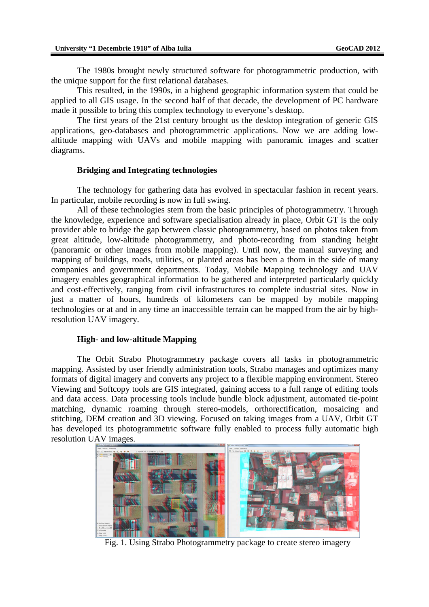The 1980s brought newly structured software for photogrammetric production, with the unique support for the first relational databases.

This resulted, in the 1990s, in a highend geographic information system that could be applied to all GIS usage. In the second half of that decade, the development of PC hardware made it possible to bring this complex technology to everyone's desktop.

The first years of the 21st century brought us the desktop integration of generic GIS applications, geo-databases and photogrammetric applications. Now we are adding lowaltitude mapping with UAVs and mobile mapping with panoramic images and scatter diagrams.

#### **Bridging and Integrating technologies**

The technology for gathering data has evolved in spectacular fashion in recent years. In particular, mobile recording is now in full swing.

All of these technologies stem from the basic principles of photogrammetry. Through the knowledge, experience and software specialisation already in place, Orbit GT is the only provider able to bridge the gap between classic photogrammetry, based on photos taken from great altitude, low-altitude photogrammetry, and photo-recording from standing height (panoramic or other images from mobile mapping). Until now, the manual surveying and mapping of buildings, roads, utilities, or planted areas has been a thorn in the side of many companies and government departments. Today, Mobile Mapping technology and UAV imagery enables geographical information to be gathered and interpreted particularly quickly and cost-effectively, ranging from civil infrastructures to complete industrial sites. Now in just a matter of hours, hundreds of kilometers can be mapped by mobile mapping technologies or at and in any time an inaccessible terrain can be mapped from the air by highresolution UAV imagery.

#### **High- and low-altitude Mapping**

The Orbit Strabo Photogrammetry package covers all tasks in photogrammetric mapping. Assisted by user friendly administration tools, Strabo manages and optimizes many formats of digital imagery and converts any project to a flexible mapping environment. Stereo Viewing and Softcopy tools are GIS integrated, gaining access to a full range of editing tools and data access. Data processing tools include bundle block adjustment, automated tie-point matching, dynamic roaming through stereo-models, orthorectification, mosaicing and stitching, DEM creation and 3D viewing. Focused on taking images from a UAV, Orbit GT has developed its photogrammetric software fully enabled to process fully automatic high resolution UAV images.



Fig. 1. Using Strabo Photogrammetry package to create stereo imagery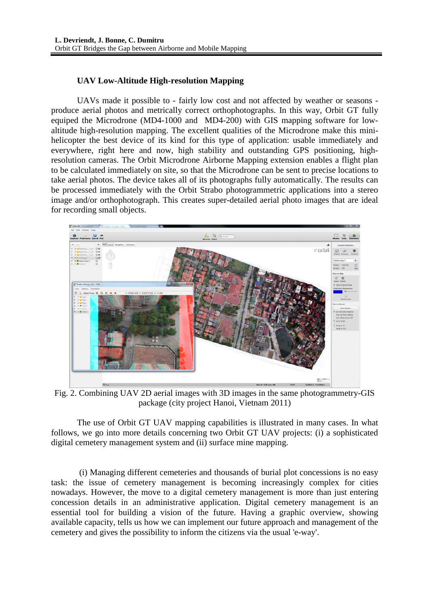## **UAV Low-Altitude High-resolution Mapping**

UAVs made it possible to - fairly low cost and not affected by weather or seasons produce aerial photos and metrically correct orthophotographs. In this way, Orbit GT fully equiped the Microdrone (MD4-1000 and MD4-200) with GIS mapping software for lowaltitude high-resolution mapping. The excellent qualities of the Microdrone make this minihelicopter the best device of its kind for this type of application: usable immediately and everywhere, right here and now, high stability and outstanding GPS positioning, highresolution cameras. The Orbit Microdrone Airborne Mapping extension enables a flight plan to be calculated immediately on site, so that the Microdrone can be sent to precise locations to take aerial photos. The device takes all of its photographs fully automatically. The results can be processed immediately with the Orbit Strabo photogrammetric applications into a stereo image and/or orthophotograph. This creates super-detailed aerial photo images that are ideal for recording small objects.



Fig. 2. Combining UAV 2D aerial images with 3D images in the same photogrammetry-GIS package (city project Hanoi, Vietnam 2011)

The use of Orbit GT UAV mapping capabilities is illustrated in many cases. In what follows, we go into more details concerning two Orbit GT UAV projects: (i) a sophisticated digital cemetery management system and (ii) surface mine mapping.

 (i) Managing different cemeteries and thousands of burial plot concessions is no easy task: the issue of cemetery management is becoming increasingly complex for cities nowadays. However, the move to a digital cemetery management is more than just entering concession details in an administrative application. Digital cemetery management is an essential tool for building a vision of the future. Having a graphic overview, showing available capacity, tells us how we can implement our future approach and management of the cemetery and gives the possibility to inform the citizens via the usual 'e-way'.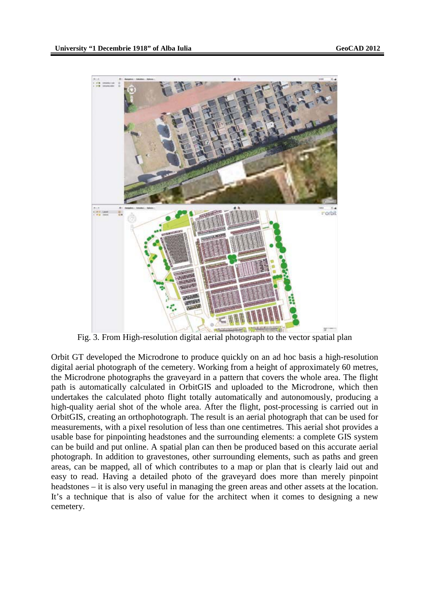

Fig. 3. From High-resolution digital aerial photograph to the vector spatial plan

Orbit GT developed the Microdrone to produce quickly on an ad hoc basis a high-resolution digital aerial photograph of the cemetery. Working from a height of approximately 60 metres, the Microdrone photographs the graveyard in a pattern that covers the whole area. The flight path is automatically calculated in OrbitGIS and uploaded to the Microdrone, which then undertakes the calculated photo flight totally automatically and autonomously, producing a high-quality aerial shot of the whole area. After the flight, post-processing is carried out in OrbitGIS, creating an orthophotograph. The result is an aerial photograph that can be used for measurements, with a pixel resolution of less than one centimetres. This aerial shot provides a usable base for pinpointing headstones and the surrounding elements: a complete GIS system can be build and put online. A spatial plan can then be produced based on this accurate aerial photograph. In addition to gravestones, other surrounding elements, such as paths and green areas, can be mapped, all of which contributes to a map or plan that is clearly laid out and easy to read. Having a detailed photo of the graveyard does more than merely pinpoint headstones – it is also very useful in managing the green areas and other assets at the location. It's a technique that is also of value for the architect when it comes to designing a new cemetery.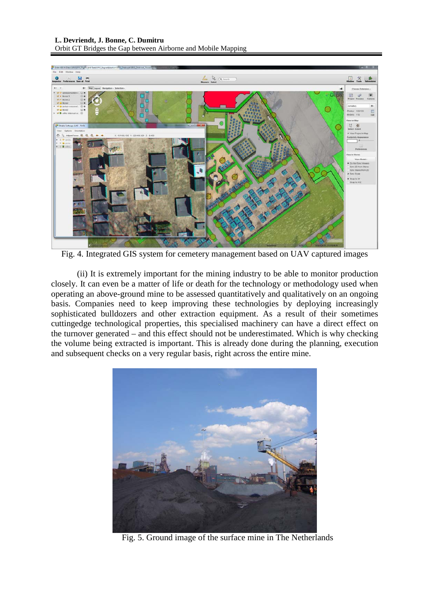

Fig. 4. Integrated GIS system for cemetery management based on UAV captured images

(ii) It is extremely important for the mining industry to be able to monitor production closely. It can even be a matter of life or death for the technology or methodology used when operating an above-ground mine to be assessed quantitatively and qualitatively on an ongoing basis. Companies need to keep improving these technologies by deploying increasingly sophisticated bulldozers and other extraction equipment. As a result of their sometimes cuttingedge technological properties, this specialised machinery can have a direct effect on the turnover generated – and this effect should not be underestimated. Which is why checking the volume being extracted is important. This is already done during the planning, execution and subsequent checks on a very regular basis, right across the entire mine.



Fig. 5. Ground image of the surface mine in The Netherlands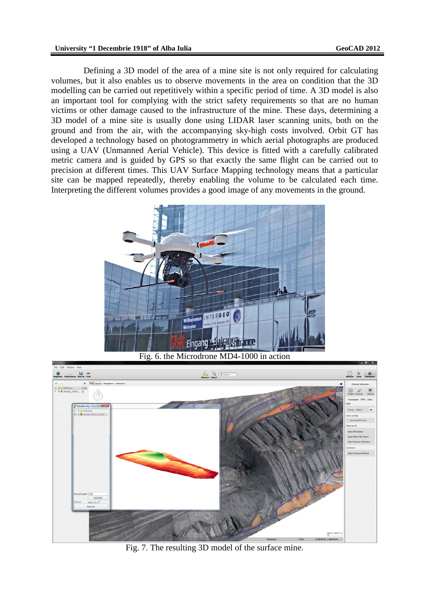Defining a 3D model of the area of a mine site is not only required for calculating volumes, but it also enables us to observe movements in the area on condition that the 3D modelling can be carried out repetitively within a specific period of time. A 3D model is also an important tool for complying with the strict safety requirements so that are no human victims or other damage caused to the infrastructure of the mine. These days, determining a 3D model of a mine site is usually done using LIDAR laser scanning units, both on the ground and from the air, with the accompanying sky-high costs involved. Orbit GT has developed a technology based on photogrammetry in which aerial photographs are produced using a UAV (Unmanned Aerial Vehicle). This device is fitted with a carefully calibrated metric camera and is guided by GPS so that exactly the same flight can be carried out to precision at different times. This UAV Surface Mapping technology means that a particular site can be mapped repeatedly, thereby enabling the volume to be calculated each time. Interpreting the different volumes provides a good image of any movements in the ground.





Fig. 7. The resulting 3D model of the surface mine.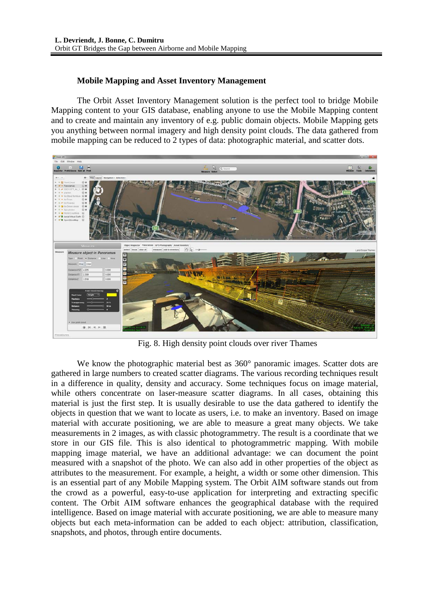### **Mobile Mapping and Asset Inventory Management**

The Orbit Asset Inventory Management solution is the perfect tool to bridge Mobile Mapping content to your GIS database, enabling anyone to use the Mobile Mapping content and to create and maintain any inventory of e.g. public domain objects. Mobile Mapping gets you anything between normal imagery and high density point clouds. The data gathered from mobile mapping can be reduced to 2 types of data: photographic material, and scatter dots.



Fig. 8. High density point clouds over river Thames

We know the photographic material best as 360° panoramic images. Scatter dots are gathered in large numbers to created scatter diagrams. The various recording techniques result in a difference in quality, density and accuracy. Some techniques focus on image material, while others concentrate on laser-measure scatter diagrams. In all cases, obtaining this material is just the first step. It is usually desirable to use the data gathered to identify the objects in question that we want to locate as users, i.e. to make an inventory. Based on image material with accurate positioning, we are able to measure a great many objects. We take measurements in 2 images, as with classic photogrammetry. The result is a coordinate that we store in our GIS file. This is also identical to photogrammetric mapping. With mobile mapping image material, we have an additional advantage: we can document the point measured with a snapshot of the photo. We can also add in other properties of the object as attributes to the measurement. For example, a height, a width or some other dimension. This is an essential part of any Mobile Mapping system. The Orbit AIM software stands out from the crowd as a powerful, easy-to-use application for interpreting and extracting specific content. The Orbit AIM software enhances the geographical database with the required intelligence. Based on image material with accurate positioning, we are able to measure many objects but each meta-information can be added to each object: attribution, classification, snapshots, and photos, through entire documents.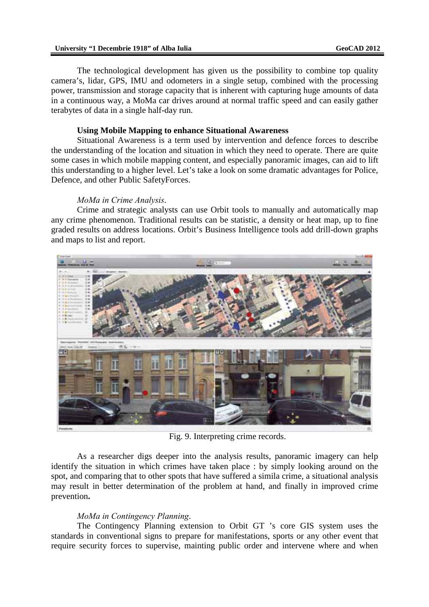#### **University "1 Decembrie 1918" of Alba Iulia GeoCAD 2012**

The technological development has given us the possibility to combine top quality camera's, lidar, GPS, IMU and odometers in a single setup, combined with the processing power, transmission and storage capacity that is inherent with capturing huge amounts of data in a continuous way, a MoMa car drives around at normal traffic speed and can easily gather terabytes of data in a single half-day run.

#### **Using Mobile Mapping to enhance Situational Awareness**

Situational Awareness is a term used by intervention and defence forces to describe the understanding of the location and situation in which they need to operate. There are quite some cases in which mobile mapping content, and especially panoramic images, can aid to lift this understanding to a higher level. Let's take a look on some dramatic advantages for Police, Defence, and other Public SafetyForces.

#### *MoMa in Crime Analysis*.

Crime and strategic analysts can use Orbit tools to manually and automatically map any crime phenomenon. Traditional results can be statistic, a density or heat map, up to fine graded results on address locations. Orbit's Business Intelligence tools add drill-down graphs and maps to list and report.



Fig. 9. Interpreting crime records.

As a researcher digs deeper into the analysis results, panoramic imagery can help identify the situation in which crimes have taken place : by simply looking around on the spot, and comparing that to other spots that have suffered a simila crime, a situational analysis may result in better determination of the problem at hand, and finally in improved crime prevention**.** 

### *MoMa in Contingency Planning*.

The Contingency Planning extension to Orbit GT 's core GIS system uses the standards in conventional signs to prepare for manifestations, sports or any other event that require security forces to supervise, mainting public order and intervene where and when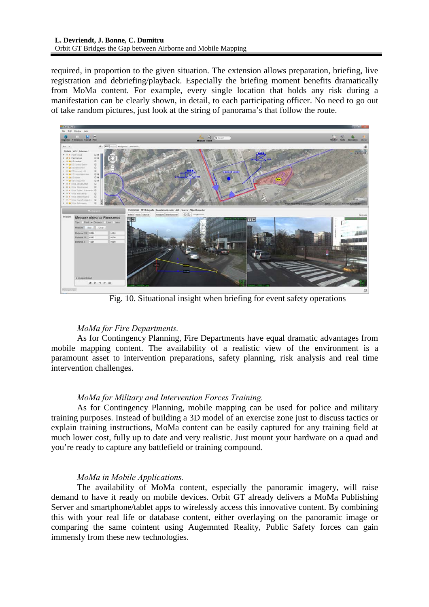required, in proportion to the given situation. The extension allows preparation, briefing, live registration and debriefing/playback. Especially the briefing moment benefits dramatically from MoMa content. For example, every single location that holds any risk during a manifestation can be clearly shown, in detail, to each participating officer. No need to go out of take random pictures, just look at the string of panorama's that follow the route.



Fig. 10. Situational insight when briefing for event safety operations

## *MoMa for Fire Departments.*

As for Contingency Planning, Fire Departments have equal dramatic advantages from mobile mapping content. The availability of a realistic view of the environment is a paramount asset to intervention preparations, safety planning, risk analysis and real time intervention challenges.

## *MoMa for Military and Intervention Forces Training.*

As for Contingency Planning, mobile mapping can be used for police and military training purposes. Instead of building a 3D model of an exercise zone just to discuss tactics or explain training instructions, MoMa content can be easily captured for any training field at much lower cost, fully up to date and very realistic. Just mount your hardware on a quad and you're ready to capture any battlefield or training compound.

## *MoMa in Mobile Applications.*

The availability of MoMa content, especially the panoramic imagery, will raise demand to have it ready on mobile devices. Orbit GT already delivers a MoMa Publishing Server and smartphone/tablet apps to wirelessly access this innovative content. By combining this with your real life or database content, either overlaying on the panoramic image or comparing the same cointent using Augemnted Reality, Public Safety forces can gain immensly from these new technologies.